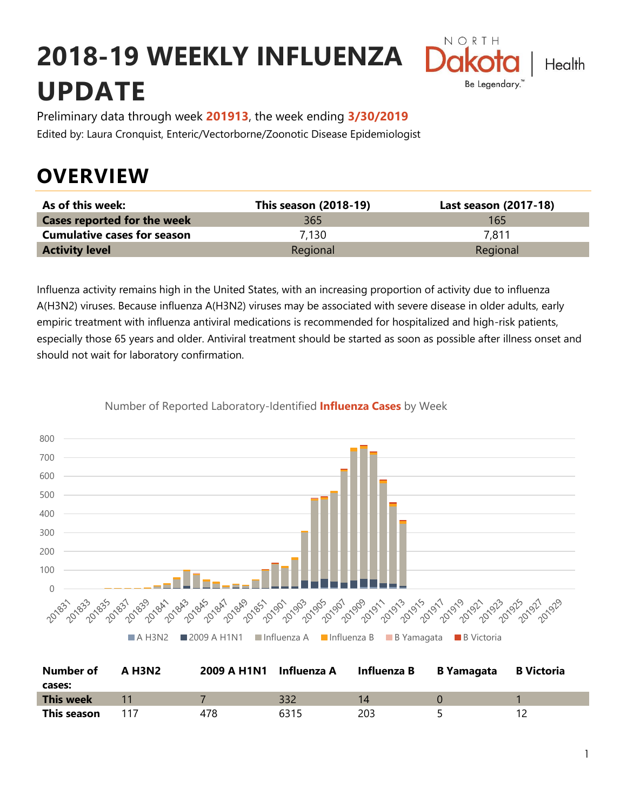# **2018-19 WEEKLY INFLUENZA UPDATE**



Preliminary data through week **201913**, the week ending **3/30/2019** Edited by: Laura Cronquist, Enteric/Vectorborne/Zoonotic Disease Epidemiologist

## **OVERVIEW**

| As of this week:                   | <b>This season (2018-19)</b> | Last season (2017-18) |
|------------------------------------|------------------------------|-----------------------|
| <b>Cases reported for the week</b> | 365                          | 165                   |
| <b>Cumulative cases for season</b> | 7.130                        | 7.811                 |
| <b>Activity level</b>              | Regional                     | Regional              |

Influenza activity remains high in the United States, with an increasing proportion of activity due to influenza A(H3N2) viruses. Because influenza A(H3N2) viruses may be associated with severe disease in older adults, early empiric treatment with influenza antiviral medications is recommended for hospitalized and high-risk patients, especially those 65 years and older. Antiviral treatment should be started as soon as possible after illness onset and should not wait for laboratory confirmation.





| <b>Number of</b><br>cases: | <b>A H3N2</b> | 2009 A H1N1 Influenza A |      | Influenza B | <b>B</b> Yamagata | <b>B Victoria</b> |
|----------------------------|---------------|-------------------------|------|-------------|-------------------|-------------------|
| This week                  |               |                         | 332  |             |                   |                   |
| This season                |               | 478                     | 6315 | 203         |                   |                   |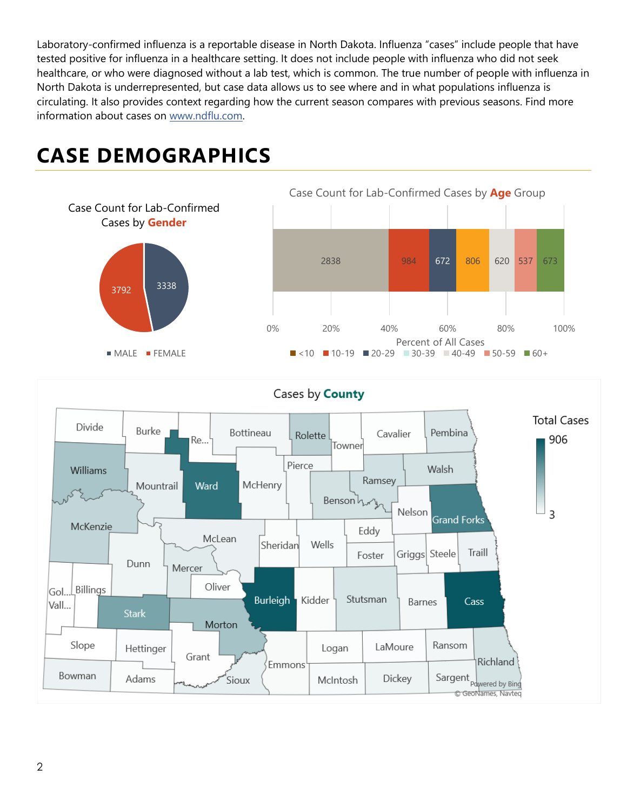Laboratory-confirmed influenza is a reportable disease in North Dakota. Influenza "cases" include people that have tested positive for influenza in a healthcare setting. It does not include people with influenza who did not seek healthcare, or who were diagnosed without a lab test, which is common. The true number of people with influenza in North Dakota is underrepresented, but case data allows us to see where and in what populations influenza is circulating. It also provides context regarding how the current season compares with previous seasons. Find more information about cases on [www.ndflu.com.](file://///nd.gov/doh/DOH-DATA/MSS/DC/PROGRAM/IMMUNE/Immunize/Influenza/Inf18-19/Surveillance/Weekly%20Summaries/www.ndflu.com)

## **CASE DEMOGRAPHICS**



#### Cases by **County**

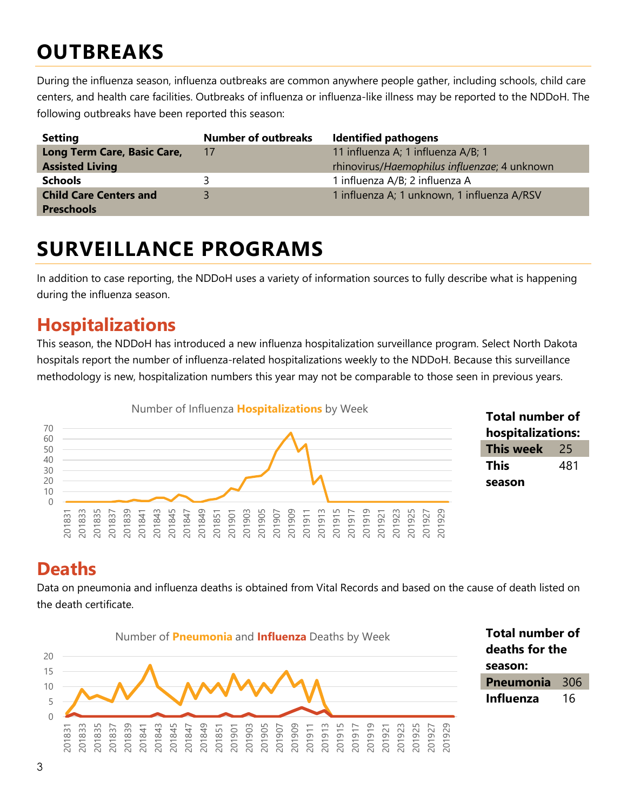## **OUTBREAKS**

During the influenza season, influenza outbreaks are common anywhere people gather, including schools, child care centers, and health care facilities. Outbreaks of influenza or influenza-like illness may be reported to the NDDoH. The following outbreaks have been reported this season:

| <b>Setting</b>                | <b>Number of outbreaks</b> | <b>Identified pathogens</b>                  |
|-------------------------------|----------------------------|----------------------------------------------|
| Long Term Care, Basic Care,   | 17                         | 11 influenza A; 1 influenza A/B; 1           |
| <b>Assisted Living</b>        |                            | rhinovirus/Haemophilus influenzae; 4 unknown |
| <b>Schools</b>                |                            | 1 influenza A/B; 2 influenza A               |
| <b>Child Care Centers and</b> |                            | 1 influenza A; 1 unknown, 1 influenza A/RSV  |
| <b>Preschools</b>             |                            |                                              |

### **SURVEILLANCE PROGRAMS**

In addition to case reporting, the NDDoH uses a variety of information sources to fully describe what is happening during the influenza season.

#### **Hospitalizations**

This season, the NDDoH has introduced a new influenza hospitalization surveillance program. Select North Dakota hospitals report the number of influenza-related hospitalizations weekly to the NDDoH. Because this surveillance methodology is new, hospitalization numbers this year may not be comparable to those seen in previous years.



#### **Total number of hospitalizations: This week** 25 **This season**

#### **Deaths**

Data on pneumonia and influenza deaths is obtained from Vital Records and based on the cause of death listed on the death certificate.



**Total number of deaths for the season: Pneumonia** 306 **Influenza** 16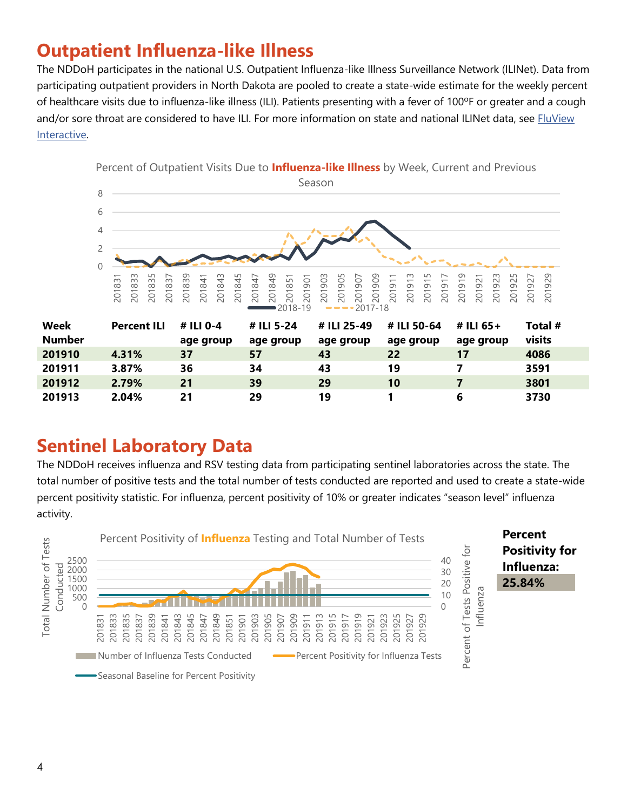### **Outpatient Influenza-like Illness**

The NDDoH participates in the national U.S. Outpatient Influenza-like Illness Surveillance Network (ILINet). Data from participating outpatient providers in North Dakota are pooled to create a state-wide estimate for the weekly percent of healthcare visits due to influenza-like illness (ILI). Patients presenting with a fever of 100ºF or greater and a cough and/or sore throat are considered to have ILI. For more information on state and national ILINet data, see FluView [Interactive.](https://gis.cdc.gov/grasp/fluview/fluportaldashboard.html)



#### **Sentinel Laboratory Data**

The NDDoH receives influenza and RSV testing data from participating sentinel laboratories across the state. The total number of positive tests and the total number of tests conducted are reported and used to create a state-wide percent positivity statistic. For influenza, percent positivity of 10% or greater indicates "season level" influenza activity.

**2.04% 21 29 19 1 6 3730**

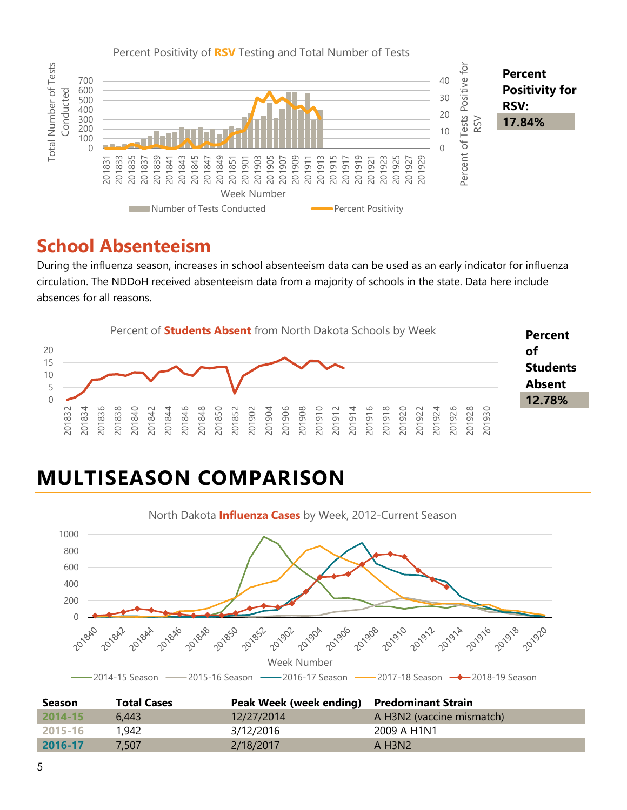

#### **School Absenteeism**

During the influenza season, increases in school absenteeism data can be used as an early indicator for influenza circulation. The NDDoH received absenteeism data from a majority of schools in the state. Data here include absences for all reasons.



## **MULTISEASON COMPARISON**



| <b>Season</b> | <b>Total Cases</b> | Peak Week (week ending) Predominant Strain |                           |
|---------------|--------------------|--------------------------------------------|---------------------------|
| $2014 - 15$   | 6.443              | 12/27/2014                                 | A H3N2 (vaccine mismatch) |
| 2015-16       | 1,942              | 3/12/2016                                  | 2009 A H1N1               |
| 2016-17       | 7.507              | 2/18/2017                                  | A H3N2                    |